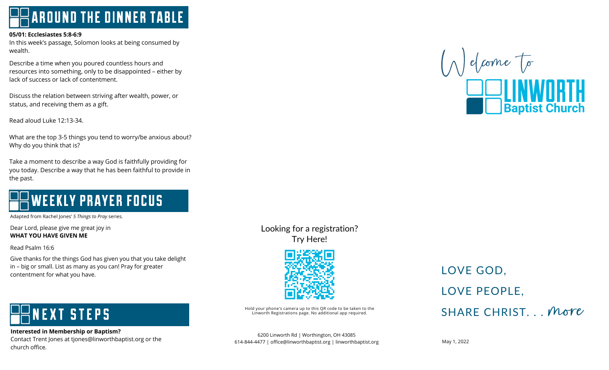**AROUND THE DINNER TABLE** 

#### **05/01: Ecclesiastes 5:8-6:9**

In this week's passage, Solomon looks at being consumed by wealth.

 resources into something, only to be disappointed – either by Describe a time when you poured countless hours and lack of success or lack of contentment.

 Discuss the relation between striving after wealth, power, or Biseass the relation settleen striving<br>status, and receiving them as a gift.

Read aloud Luke 12:13-34.

 What are the top 3-5 things you tend to worry/be anxious about?  $\overline{a}$ Why do you think that is?

 Take a moment to describe a way God is faithfully providing for you today. Describe a way that he has been faithful to provide in the past. j

#### ï **WEEKLY PRAYER FOCUS** l I ľ

Adapted from Rachel Jones' *5 Things to Pray* series.

 Dear Lord, please give me great joy in Î. **WHAT YOU HAVE GIVEN ME**

Read Psalm 16:6

 Give thanks for the things God has given you that you take delight in – big or small. List as many as you can! Pray for greater contentment for what you have.

#### Ī **VEXT STEPS** ł I

 **Interested in Membership or Baptism?** merested in Membersing or Baptism.<br>Contact Trent Jones at tjones@linworthbaptist.org or the church office.

Looking for a registration? Try Here!



Hold your phone's camera up to this QR code to be taken to the<br>Linworth Registrations page. No additional app required.

6200 Linworth Rd | Worthington, OH 43085 614-844-4477 | office@linworthbaptist.org | linworthbaptist.org

### LOVE GOD. LOVE PEOPLE. SHARE CHRIST... More

May 1, 2022